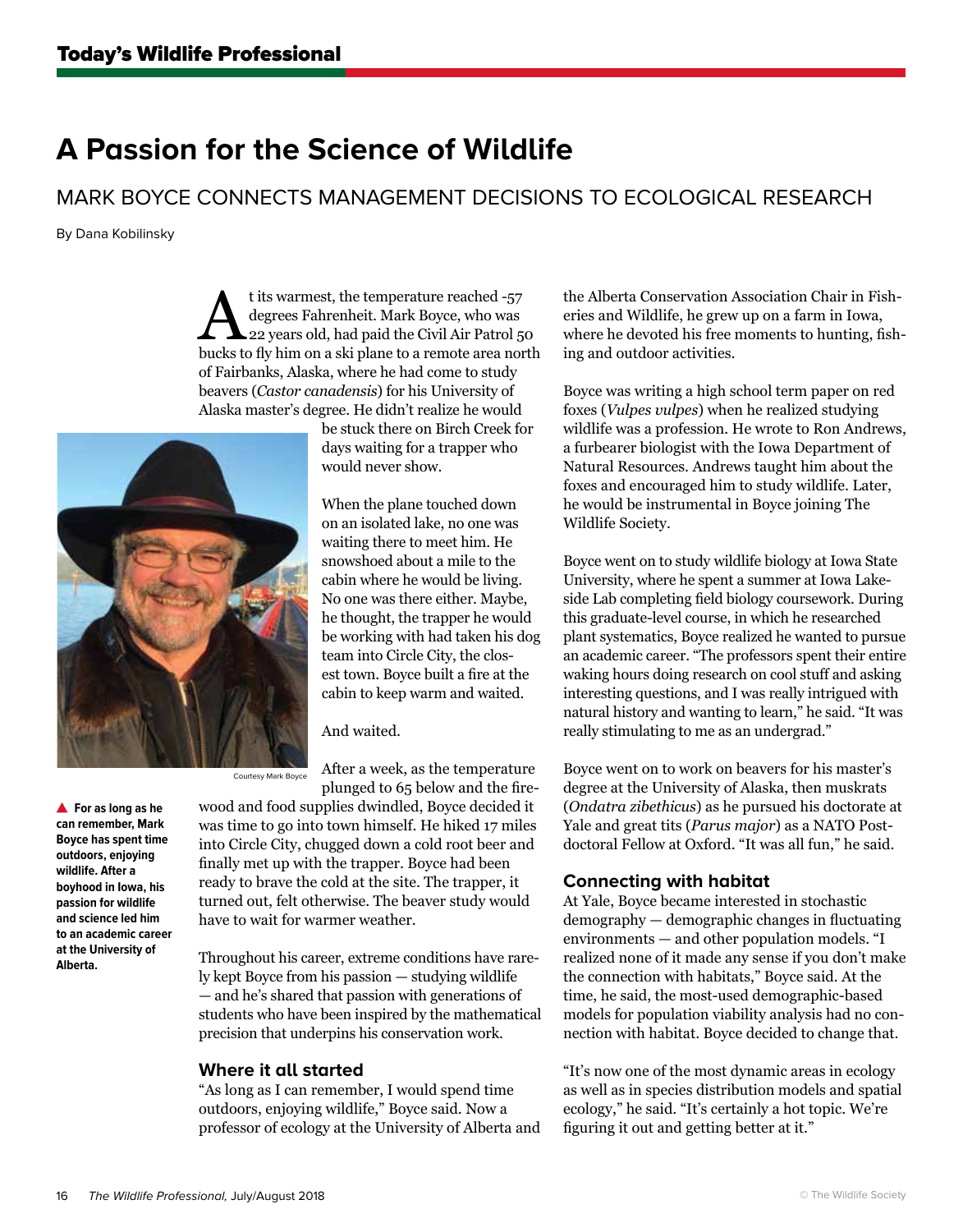# **A Passion for the Science of Wildlife**

MARK BOYCE CONNECTS MANAGEMENT DECISIONS TO ECOLOGICAL RESEARCH

By Dana Kobilinsky

t its warmest, the temperature reached -57<br>degrees Fahrenheit. Mark Boyce, who was<br>and aze years old, had paid the Civil Air Patrol 50 degrees Fahrenheit. Mark Boyce, who was bucks to fly him on a ski plane to a remote area north of Fairbanks, Alaska, where he had come to study beavers (*Castor canadensis*) for his University of Alaska master's degree. He didn't realize he would



be stuck there on Birch Creek for days waiting for a trapper who would never show.

When the plane touched down on an isolated lake, no one was waiting there to meet him. He snowshoed about a mile to the cabin where he would be living. No one was there either. Maybe, he thought, the trapper he would be working with had taken his dog team into Circle City, the closest town. Boyce built a fire at the cabin to keep warm and waited.

And waited.

After a week, as the temperature plunged to 65 below and the fire-Courtesy Mark Boyce

**For as long as he can remember, Mark Boyce has spent time outdoors, enjoying wildlife. After a boyhood in Iowa, his passion for wildlife and science led him to an academic career at the University of Alberta.**

wood and food supplies dwindled, Boyce decided it was time to go into town himself. He hiked 17 miles into Circle City, chugged down a cold root beer and finally met up with the trapper. Boyce had been ready to brave the cold at the site. The trapper, it turned out, felt otherwise. The beaver study would have to wait for warmer weather.

Throughout his career, extreme conditions have rarely kept Boyce from his passion — studying wildlife — and he's shared that passion with generations of students who have been inspired by the mathematical precision that underpins his conservation work.

## **Where it all started**

"As long as I can remember, I would spend time outdoors, enjoying wildlife," Boyce said. Now a professor of ecology at the University of Alberta and the Alberta Conservation Association Chair in Fisheries and Wildlife, he grew up on a farm in Iowa, where he devoted his free moments to hunting, fishing and outdoor activities.

Boyce was writing a high school term paper on red foxes (*Vulpes vulpes*) when he realized studying wildlife was a profession. He wrote to Ron Andrews, a furbearer biologist with the Iowa Department of Natural Resources. Andrews taught him about the foxes and encouraged him to study wildlife. Later, he would be instrumental in Boyce joining The Wildlife Society.

Boyce went on to study wildlife biology at Iowa State University, where he spent a summer at Iowa Lakeside Lab completing field biology coursework. During this graduate-level course, in which he researched plant systematics, Boyce realized he wanted to pursue an academic career. "The professors spent their entire waking hours doing research on cool stuff and asking interesting questions, and I was really intrigued with natural history and wanting to learn," he said. "It was really stimulating to me as an undergrad."

Boyce went on to work on beavers for his master's degree at the University of Alaska, then muskrats (*Ondatra zibethicus*) as he pursued his doctorate at Yale and great tits (*Parus major*) as a NATO Postdoctoral Fellow at Oxford. "It was all fun," he said.

## **Connecting with habitat**

At Yale, Boyce became interested in stochastic demography — demographic changes in fluctuating environments — and other population models. "I realized none of it made any sense if you don't make the connection with habitats," Boyce said. At the time, he said, the most-used demographic-based models for population viability analysis had no connection with habitat. Boyce decided to change that.

"It's now one of the most dynamic areas in ecology as well as in species distribution models and spatial ecology," he said. "It's certainly a hot topic. We're figuring it out and getting better at it."